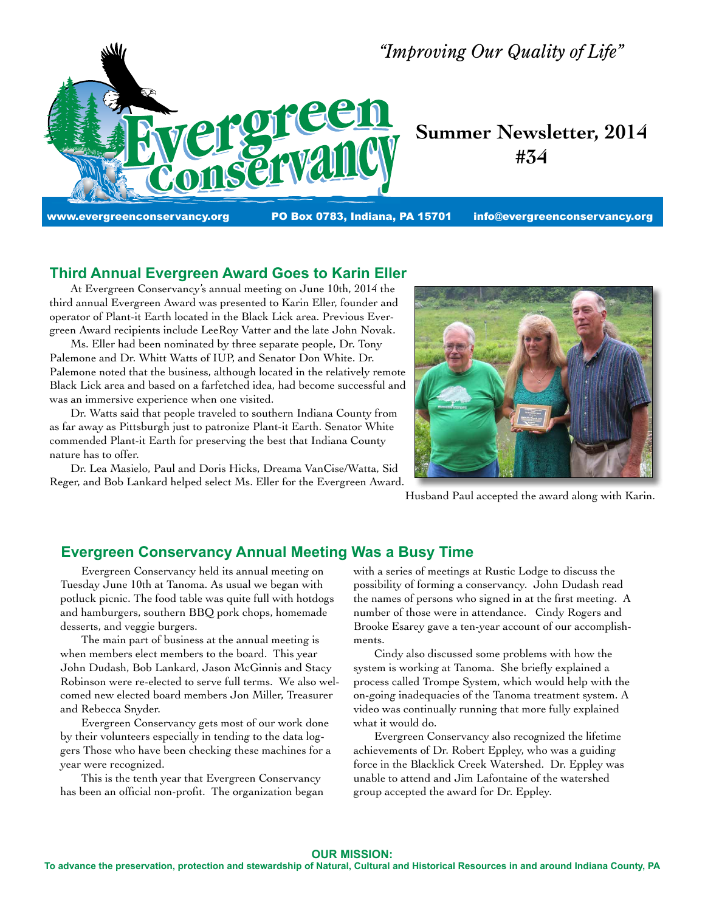

## **Third Annual Evergreen Award Goes to Karin Eller**

 At Evergreen Conservancy's annual meeting on June 10th, 2014 the third annual Evergreen Award was presented to Karin Eller, founder and operator of Plant-it Earth located in the Black Lick area. Previous Evergreen Award recipients include LeeRoy Vatter and the late John Novak.

 Ms. Eller had been nominated by three separate people, Dr. Tony Palemone and Dr. Whitt Watts of IUP, and Senator Don White. Dr. Palemone noted that the business, although located in the relatively remote Black Lick area and based on a farfetched idea, had become successful and was an immersive experience when one visited.

 Dr. Watts said that people traveled to southern Indiana County from as far away as Pittsburgh just to patronize Plant-it Earth. Senator White commended Plant-it Earth for preserving the best that Indiana County nature has to offer.

 Dr. Lea Masielo, Paul and Doris Hicks, Dreama VanCise/Watta, Sid Reger, and Bob Lankard helped select Ms. Eller for the Evergreen Award.



Husband Paul accepted the award along with Karin.

## **Evergreen Conservancy Annual Meeting Was a Busy Time**

 Evergreen Conservancy held its annual meeting on Tuesday June 10th at Tanoma. As usual we began with potluck picnic. The food table was quite full with hotdogs and hamburgers, southern BBQ pork chops, homemade desserts, and veggie burgers.

 The main part of business at the annual meeting is when members elect members to the board. This year John Dudash, Bob Lankard, Jason McGinnis and Stacy Robinson were re-elected to serve full terms. We also welcomed new elected board members Jon Miller, Treasurer and Rebecca Snyder.

 Evergreen Conservancy gets most of our work done by their volunteers especially in tending to the data loggers Those who have been checking these machines for a year were recognized.

 This is the tenth year that Evergreen Conservancy has been an official non-profit. The organization began with a series of meetings at Rustic Lodge to discuss the possibility of forming a conservancy. John Dudash read the names of persons who signed in at the first meeting. A number of those were in attendance. Cindy Rogers and Brooke Esarey gave a ten-year account of our accomplishments.

 Cindy also discussed some problems with how the system is working at Tanoma. She briefly explained a process called Trompe System, which would help with the on-going inadequacies of the Tanoma treatment system. A video was continually running that more fully explained what it would do.

 Evergreen Conservancy also recognized the lifetime achievements of Dr. Robert Eppley, who was a guiding force in the Blacklick Creek Watershed. Dr. Eppley was unable to attend and Jim Lafontaine of the watershed group accepted the award for Dr. Eppley.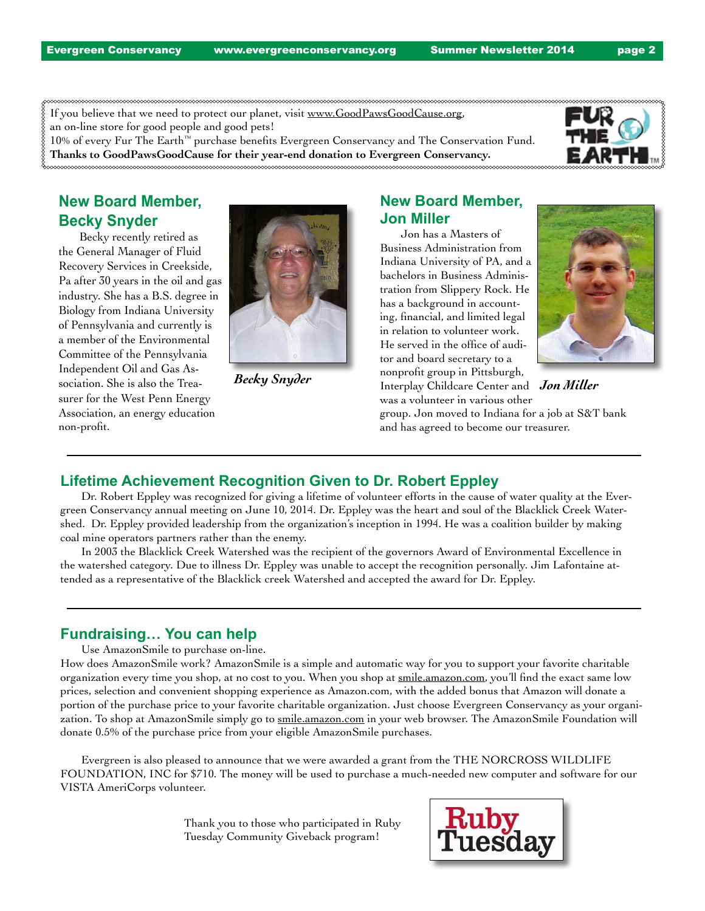If you believe that we need to protect our planet, visit www.GoodPawsGoodCause.org,

an on-line store for good people and good pets!

10% of every Fur The Earth™ purchase benefits Evergreen Conservancy and The Conservation Fund. **Thanks to GoodPawsGoodCause for their year-end donation to Evergreen Conservancy.**



# **New Board Member, Becky Snyder**

 Becky recently retired as the General Manager of Fluid Recovery Services in Creekside, Pa after 30 years in the oil and gas industry. She has a B.S. degree in Biology from Indiana University of Pennsylvania and currently is a member of the Environmental Committee of the Pennsylvania Independent Oil and Gas Association. She is also the Treasurer for the West Penn Energy Association, an energy education non-profit.



## **New Board Member, Jon Miller**

 Jon has a Masters of Business Administration from Indiana University of PA, and a bachelors in Business Administration from Slippery Rock. He has a background in accounting, financial, and limited legal in relation to volunteer work. He served in the office of auditor and board secretary to a nonprofit group in Pittsburgh, Interplay Childcare Center and *Becky Snyder Jon Miller* was a volunteer in various other



group. Jon moved to Indiana for a job at S&T bank and has agreed to become our treasurer.

### **Lifetime Achievement Recognition Given to Dr. Robert Eppley**

 Dr. Robert Eppley was recognized for giving a lifetime of volunteer efforts in the cause of water quality at the Evergreen Conservancy annual meeting on June 10, 2014. Dr. Eppley was the heart and soul of the Blacklick Creek Watershed. Dr. Eppley provided leadership from the organization's inception in 1994. He was a coalition builder by making coal mine operators partners rather than the enemy.

 In 2003 the Blacklick Creek Watershed was the recipient of the governors Award of Environmental Excellence in the watershed category. Due to illness Dr. Eppley was unable to accept the recognition personally. Jim Lafontaine attended as a representative of the Blacklick creek Watershed and accepted the award for Dr. Eppley.

### **Fundraising… You can help**

 Use AmazonSmile to purchase on-line.

How does AmazonSmile work? AmazonSmile is a simple and automatic way for you to support your favorite charitable organization every time you shop, at no cost to you. When you shop at smile.amazon.com, you'll find the exact same low prices, selection and convenient shopping experience as Amazon.com, with the added bonus that Amazon will donate a portion of the purchase price to your favorite charitable organization. Just choose Evergreen Conservancy as your organization. To shop at AmazonSmile simply go to smile.amazon.com in your web browser. The AmazonSmile Foundation will donate 0.5% of the purchase price from your eligible AmazonSmile purchases.

 Evergreen is also pleased to announce that we were awarded a grant from the THE NORCROSS WILDLIFE FOUNDATION, INC for \$710. The money will be used to purchase a much-needed new computer and software for our VISTA AmeriCorps volunteer.

> Thank you to those who participated in Ruby Tuesday Community Giveback program!

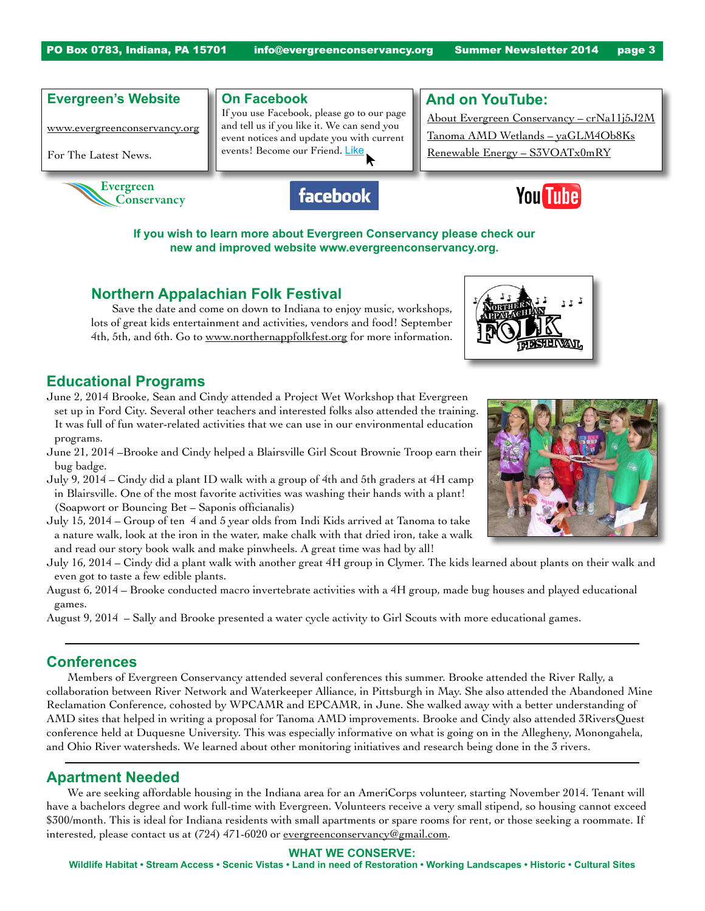#### **Evergreen's Website**

www.evergreenconservancy.org

For The Latest News.



#### **On Facebook**

If you use Facebook, please go to our page and tell us if you like it. We can send you event notices and update you with current events! Become our Friend. Like





About Evergreen Conservancy – crNa11j5J2M Tanoma AMD Wetlands – yaGLM4Ob8Ks Renewable Energy – S3VOATx0mRY

**And on YouTube:**

**If you wish to learn more about Evergreen Conservancy please check our new and improved website www.evergreenconservancy.org.** 

### **Northern Appalachian Folk Festival**

 Save the date and come on down to Indiana to enjoy music, workshops, lots of great kids entertainment and activities, vendors and food! September 4th, 5th, and 6th. Go to www.northernappfolkfest.org for more information.

### **Educational Programs**

- June 2, 2014 Brooke, Sean and Cindy attended a Project Wet Workshop that Evergreen set up in Ford City. Several other teachers and interested folks also attended the training. It was full of fun water-related activities that we can use in our environmental education programs.
- June 21, 2014 –Brooke and Cindy helped a Blairsville Girl Scout Brownie Troop earn their bug badge.
- July 9, 2014 Cindy did a plant ID walk with a group of 4th and 5th graders at 4H camp in Blairsville. One of the most favorite activities was washing their hands with a plant! (Soapwort or Bouncing Bet – Saponis officianalis)
- July 15, 2014 Group of ten 4 and 5 year olds from Indi Kids arrived at Tanoma to take a nature walk, look at the iron in the water, make chalk with that dried iron, take a walk and read our story book walk and make pinwheels. A great time was had by all!
- July 16, 2014 Cindy did a plant walk with another great 4H group in Clymer. The kids learned about plants on their walk and even got to taste a few edible plants.
- August 6, 2014 Brooke conducted macro invertebrate activities with a 4H group, made bug houses and played educational games.
- August 9, 2014 Sally and Brooke presented a water cycle activity to Girl Scouts with more educational games.

#### **Conferences**

 Members of Evergreen Conservancy attended several conferences this summer. Brooke attended the River Rally, a collaboration between River Network and Waterkeeper Alliance, in Pittsburgh in May. She also attended the Abandoned Mine Reclamation Conference, cohosted by WPCAMR and EPCAMR, in June. She walked away with a better understanding of AMD sites that helped in writing a proposal for Tanoma AMD improvements. Brooke and Cindy also attended 3RiversQuest conference held at Duquesne University. This was especially informative on what is going on in the Allegheny, Monongahela, and Ohio River watersheds. We learned about other monitoring initiatives and research being done in the 3 rivers.

### **Apartment Needed**

 We are seeking affordable housing in the Indiana area for an AmeriCorps volunteer, starting November 2014. Tenant will have a bachelors degree and work full-time with Evergreen. Volunteers receive a very small stipend, so housing cannot exceed \$300/month. This is ideal for Indiana residents with small apartments or spare rooms for rent, or those seeking a roommate. If interested, please contact us at (724) 471-6020 or evergreenconservancy@gmail.com.

#### **WHAT WE CONSERVE:**

**Wildlife Habitat • Stream Access • Scenic Vistas • Land in need of Restoration • Working Landscapes • Historic • Cultural Sites**